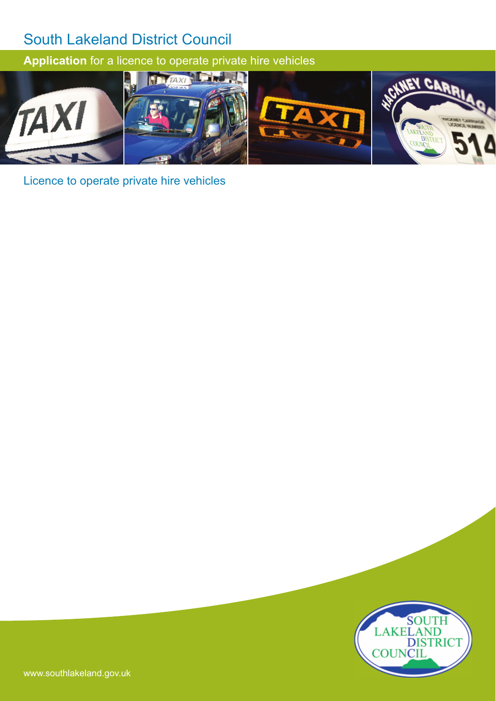**Application** for a licence to operate private hire vehicles



Licence to operate private hire vehicles

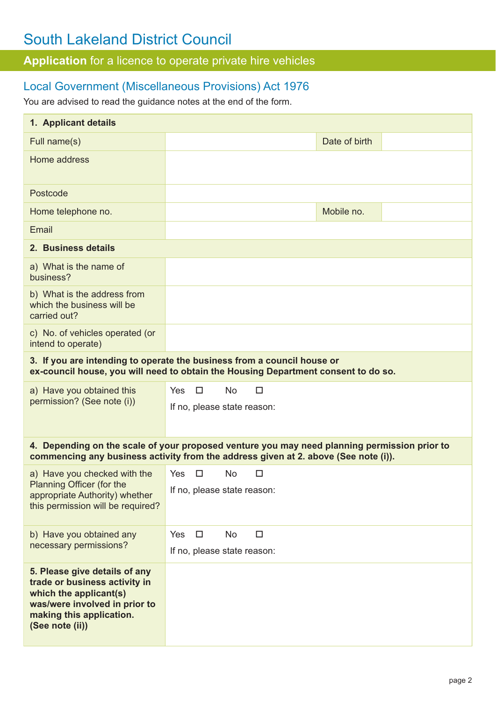**Application** for a licence to operate private hire vehicles

## Local Government (Miscellaneous Provisions) Act 1976

You are advised to read the guidance notes at the end of the form.

| 1. Applicant details                                                                                                                                                                |                                 |               |  |  |
|-------------------------------------------------------------------------------------------------------------------------------------------------------------------------------------|---------------------------------|---------------|--|--|
| Full name(s)                                                                                                                                                                        |                                 | Date of birth |  |  |
| Home address                                                                                                                                                                        |                                 |               |  |  |
| Postcode                                                                                                                                                                            |                                 |               |  |  |
| Home telephone no.                                                                                                                                                                  |                                 | Mobile no.    |  |  |
| Email                                                                                                                                                                               |                                 |               |  |  |
| 2. Business details                                                                                                                                                                 |                                 |               |  |  |
| a) What is the name of<br>business?                                                                                                                                                 |                                 |               |  |  |
| b) What is the address from<br>which the business will be<br>carried out?                                                                                                           |                                 |               |  |  |
| c) No. of vehicles operated (or<br>intend to operate)                                                                                                                               |                                 |               |  |  |
| 3. If you are intending to operate the business from a council house or<br>ex-council house, you will need to obtain the Housing Department consent to do so.                       |                                 |               |  |  |
| a) Have you obtained this                                                                                                                                                           | Yes<br>$\Box$<br><b>No</b><br>□ |               |  |  |
| permission? (See note (i))                                                                                                                                                          | If no, please state reason:     |               |  |  |
| 4. Depending on the scale of your proposed venture you may need planning permission prior to<br>commencing any business activity from the address given at 2. above (See note (i)). |                                 |               |  |  |
| a) Have you checked with the                                                                                                                                                        | Yes<br><b>No</b><br>□<br>□      |               |  |  |
| Planning Officer (for the<br>appropriate Authority) whether<br>this permission will be required?                                                                                    | If no, please state reason:     |               |  |  |
| b) Have you obtained any                                                                                                                                                            | Yes<br>$\Box$<br>No<br>□        |               |  |  |
| necessary permissions?                                                                                                                                                              | If no, please state reason:     |               |  |  |
| 5. Please give details of any<br>trade or business activity in<br>which the applicant(s)<br>was/were involved in prior to<br>making this application.<br>(See note (ii))            |                                 |               |  |  |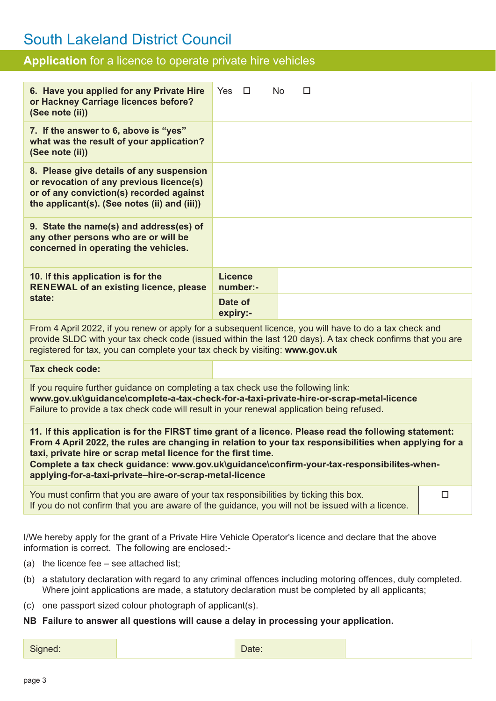## **Application** for a licence to operate private hire vehicles

| 6. Have you applied for any Private Hire<br>or Hackney Carriage licences before?<br>(See note (ii))                                                                                                                                                                                                                                                                                                                                       | $\Box$<br>Yes              | No | □ |  |
|-------------------------------------------------------------------------------------------------------------------------------------------------------------------------------------------------------------------------------------------------------------------------------------------------------------------------------------------------------------------------------------------------------------------------------------------|----------------------------|----|---|--|
| 7. If the answer to 6, above is "yes"<br>what was the result of your application?<br>(See note (ii))                                                                                                                                                                                                                                                                                                                                      |                            |    |   |  |
| 8. Please give details of any suspension<br>or revocation of any previous licence(s)<br>or of any conviction(s) recorded against<br>the applicant(s). (See notes (ii) and (iii))                                                                                                                                                                                                                                                          |                            |    |   |  |
| 9. State the name(s) and address(es) of<br>any other persons who are or will be<br>concerned in operating the vehicles.                                                                                                                                                                                                                                                                                                                   |                            |    |   |  |
| 10. If this application is for the<br><b>RENEWAL of an existing licence, please</b><br>state:                                                                                                                                                                                                                                                                                                                                             | <b>Licence</b><br>number:- |    |   |  |
|                                                                                                                                                                                                                                                                                                                                                                                                                                           | Date of<br>expiry:-        |    |   |  |
| From 4 April 2022, if you renew or apply for a subsequent licence, you will have to do a tax check and<br>provide SLDC with your tax check code (issued within the last 120 days). A tax check confirms that you are<br>registered for tax, you can complete your tax check by visiting: www.gov.uk                                                                                                                                       |                            |    |   |  |
| <b>Tax check code:</b>                                                                                                                                                                                                                                                                                                                                                                                                                    |                            |    |   |  |
| If you require further guidance on completing a tax check use the following link:<br>www.gov.uk\guidance\complete-a-tax-check-for-a-taxi-private-hire-or-scrap-metal-licence<br>Failure to provide a tax check code will result in your renewal application being refused.                                                                                                                                                                |                            |    |   |  |
| 11. If this application is for the FIRST time grant of a licence. Please read the following statement:<br>From 4 April 2022, the rules are changing in relation to your tax responsibilities when applying for a<br>taxi, private hire or scrap metal licence for the first time.<br>Complete a tax check guidance: www.gov.uk\guidance\confirm-your-tax-responsibilites-when-<br>applying-for-a-taxi-private-hire-or-scrap-metal-licence |                            |    |   |  |
| You must confirm that you are aware of your tax responsibilities by ticking this box.<br>□<br>If you do not confirm that you are aware of the guidance, you will not be issued with a licence.                                                                                                                                                                                                                                            |                            |    |   |  |
| I/We hereby apply for the grant of a Private Hire Vehicle Operator's licence and declare that the above<br>information is correct. The following are enclosed:-                                                                                                                                                                                                                                                                           |                            |    |   |  |

- (a) the licence fee see attached list;
- (b) a statutory declaration with regard to any criminal offences including motoring offences, duly completed. Where joint applications are made, a statutory declaration must be completed by all applicants;
- (c) one passport sized colour photograph of applicant(s).

### **NB Failure to answer all questions will cause a delay in processing your application.**

Signed: No. 2016 | Date: No. 2016 | Date: No. 2016 | Date: No. 2016 | Date: No. 2016 | Date: No. 2016 | Date: No. 2016 | Date: No. 2016 | Date: No. 2016 | Date: No. 2016 | Date: No. 2016 | Date: No. 2016 | Date: No. 2016 |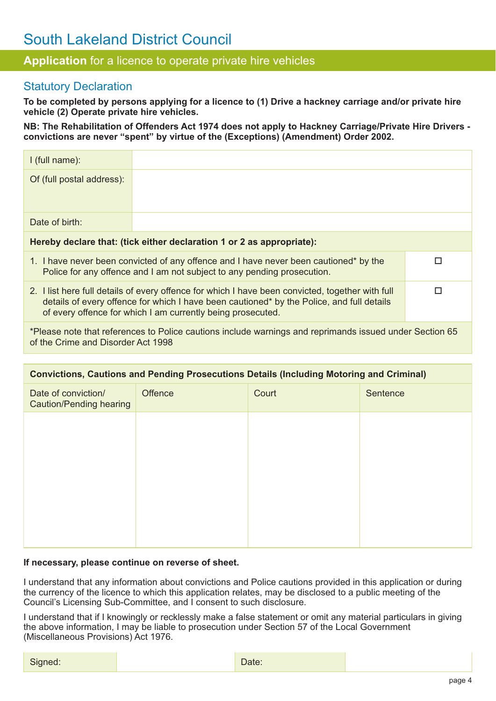## **Application** for a licence to operate private hire vehicles

## Statutory Declaration

**To be completed by persons applying for a licence to (1) Drive a hackney carriage and/or private hire vehicle (2) Operate private hire vehicles.** 

**NB: The Rehabilitation of Offenders Act 1974 does not apply to Hackney Carriage/Private Hire Drivers convictions are never "spent" by virtue of the (Exceptions) (Amendment) Order 2002.**

| $l$ (full name):                                                                                                                                                                                                                                             |  |  |  |
|--------------------------------------------------------------------------------------------------------------------------------------------------------------------------------------------------------------------------------------------------------------|--|--|--|
| Of (full postal address):                                                                                                                                                                                                                                    |  |  |  |
| Date of birth:                                                                                                                                                                                                                                               |  |  |  |
| Hereby declare that: (tick either declaration 1 or 2 as appropriate):                                                                                                                                                                                        |  |  |  |
| 1. I have never been convicted of any offence and I have never been cautioned* by the<br>Police for any offence and I am not subject to any pending prosecution.                                                                                             |  |  |  |
| 2. I list here full details of every offence for which I have been convicted, together with full<br>details of every offence for which I have been cautioned* by the Police, and full details<br>of every offence for which I am currently being prosecuted. |  |  |  |
| *Please note that references to Police cautions include warnings and reprimands issued under Section 65<br>of the Crime and Disorder Act 1998                                                                                                                |  |  |  |

| <b>Convictions, Cautions and Pending Prosecutions Details (Including Motoring and Criminal)</b> |         |       |          |  |
|-------------------------------------------------------------------------------------------------|---------|-------|----------|--|
| Date of conviction/<br><b>Caution/Pending hearing</b>                                           | Offence | Court | Sentence |  |
|                                                                                                 |         |       |          |  |
|                                                                                                 |         |       |          |  |
|                                                                                                 |         |       |          |  |
|                                                                                                 |         |       |          |  |
|                                                                                                 |         |       |          |  |
|                                                                                                 |         |       |          |  |

#### **If necessary, please continue on reverse of sheet.**

I understand that any information about convictions and Police cautions provided in this application or during the currency of the licence to which this application relates, may be disclosed to a public meeting of the Council's Licensing Sub-Committee, and I consent to such disclosure.

I understand that if I knowingly or recklessly make a false statement or omit any material particulars in giving the above information, I may be liable to prosecution under Section 57 of the Local Government (Miscellaneous Provisions) Act 1976.

| Signed: | $\sim$<br>Date: |  |
|---------|-----------------|--|
|---------|-----------------|--|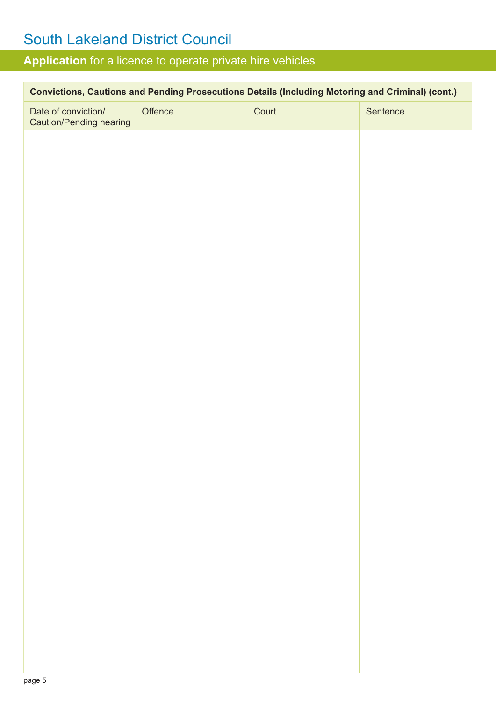## **Application** for a licence to operate private hire vehicles

| Convictions, Cautions and Pending Prosecutions Details (Including Motoring and Criminal) (cont.) |         |       |          |  |
|--------------------------------------------------------------------------------------------------|---------|-------|----------|--|
| Date of conviction/<br><b>Caution/Pending hearing</b>                                            | Offence | Court | Sentence |  |
|                                                                                                  |         |       |          |  |
|                                                                                                  |         |       |          |  |
|                                                                                                  |         |       |          |  |
|                                                                                                  |         |       |          |  |
|                                                                                                  |         |       |          |  |
|                                                                                                  |         |       |          |  |
|                                                                                                  |         |       |          |  |
|                                                                                                  |         |       |          |  |
|                                                                                                  |         |       |          |  |
|                                                                                                  |         |       |          |  |
|                                                                                                  |         |       |          |  |
|                                                                                                  |         |       |          |  |
|                                                                                                  |         |       |          |  |
|                                                                                                  |         |       |          |  |
|                                                                                                  |         |       |          |  |
|                                                                                                  |         |       |          |  |
|                                                                                                  |         |       |          |  |
|                                                                                                  |         |       |          |  |
|                                                                                                  |         |       |          |  |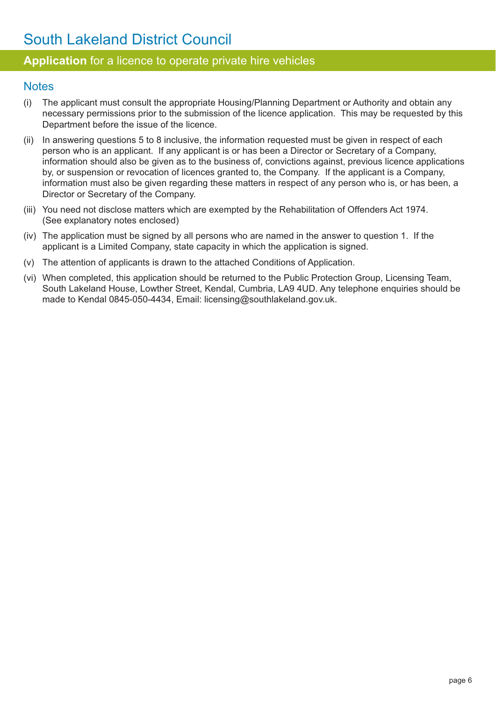## **Application** for a licence to operate private hire vehicles

### **Notes**

- (i) The applicant must consult the appropriate Housing/Planning Department or Authority and obtain any necessary permissions prior to the submission of the licence application. This may be requested by this Department before the issue of the licence.
- (ii) In answering questions 5 to 8 inclusive, the information requested must be given in respect of each person who is an applicant. If any applicant is or has been a Director or Secretary of a Company, information should also be given as to the business of, convictions against, previous licence applications by, or suspension or revocation of licences granted to, the Company. If the applicant is a Company, information must also be given regarding these matters in respect of any person who is, or has been, a Director or Secretary of the Company.
- (iii) You need not disclose matters which are exempted by the Rehabilitation of Offenders Act 1974. (See explanatory notes enclosed)
- (iv) The application must be signed by all persons who are named in the answer to question 1. If the applicant is a Limited Company, state capacity in which the application is signed.
- (v) The attention of applicants is drawn to the attached Conditions of Application.
- (vi) When completed, this application should be returned to the Public Protection Group, Licensing Team, South Lakeland House, Lowther Street, Kendal, Cumbria, LA9 4UD. Any telephone enquiries should be made to Kendal 0845-050-4434, Email: licensing@southlakeland.gov.uk.